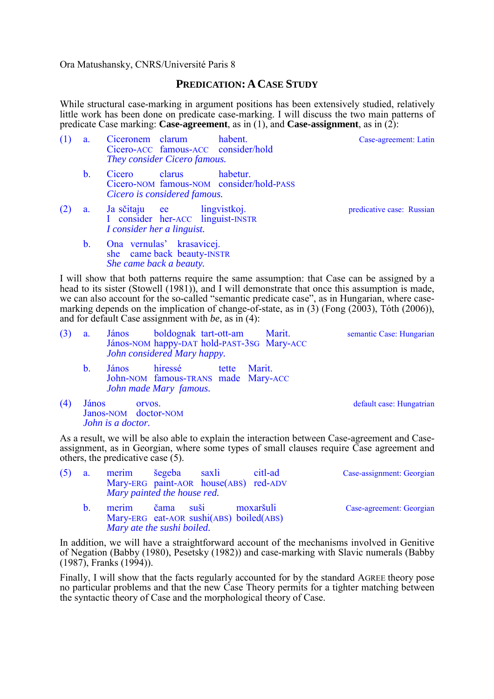Ora Matushansky, CNRS/Université Paris 8

## **PREDICATION: ACASE STUDY**

While structural case-marking in argument positions has been extensively studied, relatively little work has been done on predicate case-marking. I will discuss the two main patterns of predicate Case marking: **Case-agreement**, as in (1), and **Case-assignment**, as in (2):

| (1) | a.             | Ciceronem clarum<br>habent.<br>Cicero-ACC famous-ACC consider/hold<br>They consider Cicero famous.       | Case-agreement: Latin     |  |
|-----|----------------|----------------------------------------------------------------------------------------------------------|---------------------------|--|
|     | $\mathbf{b}$ . | clarus<br>habetur.<br>Cicero<br>Cicero-NOM famous-NOM consider/hold-PASS<br>Cicero is considered famous. |                           |  |
| (2) | a <sub>1</sub> | Ja sčitaju ee lingvistkoj.<br>I consider her-ACC linguist-INSTR<br>I consider her a linguist.            | predicative case: Russian |  |
|     | $\mathbf{b}$ . | Ona vernulas' krasavicej.<br>she came back beauty-INSTR                                                  |                           |  |

 *She came back a beauty.*  I will show that both patterns require the same assumption: that Case can be assigned by a head to its sister (Stowell (1981)), and I will demonstrate that once this assumption is made, we can also account for the so-called "semantic predicate case", as in Hungarian, where casemarking depends on the implication of change-of-state, as in  $(3)$  (Fong  $(2003)$ , Toth  $(2006)$ ),

| $(3)$ a. | János                       | boldognak tart-ott-am |                                            | Marit. |
|----------|-----------------------------|-----------------------|--------------------------------------------|--------|
|          |                             |                       | János-NOM happy-DAT hold-PAST-3SG Mary-ACC |        |
|          | John considered Mary happy. |                       |                                            |        |

and for default Case assignment with *be*, as in (4):

b. János hiressé tette Marit. John-NOM famous-TRANS made Mary-ACC *John made Mary famous.*

semantic Case: Hungarian

(4) János orvos.  $\alpha$  orvos. Janos-NOM doctor-NOM *John is a doctor.*

As a result, we will be also able to explain the interaction between Case-agreement and Caseassignment, as in Georgian, where some types of small clauses require Case agreement and others, the predicative case (5).

| (5) | a.             | merim šegeba saxli<br>Mary-ERG paint-AOR house(ABS) red-ADV<br>Mary painted the house red. |           | citl-ad   | Case-assignment: Georgian |
|-----|----------------|--------------------------------------------------------------------------------------------|-----------|-----------|---------------------------|
|     | $\mathbf{b}$ . | merim<br>Mary-ERG eat-AOR sushi(ABS) boiled(ABS)<br>Mary ate the sushi boiled.             | čama suši | moxaršuli | Case-agreement: Georgian  |

In addition, we will have a straightforward account of the mechanisms involved in Genitive of Negation (Babby (1980), Pesetsky (1982)) and case-marking with Slavic numerals (Babby (1987), Franks (1994)).

Finally, I will show that the facts regularly accounted for by the standard AGREE theory pose no particular problems and that the new Case Theory permits for a tighter matching between the syntactic theory of Case and the morphological theory of Case.